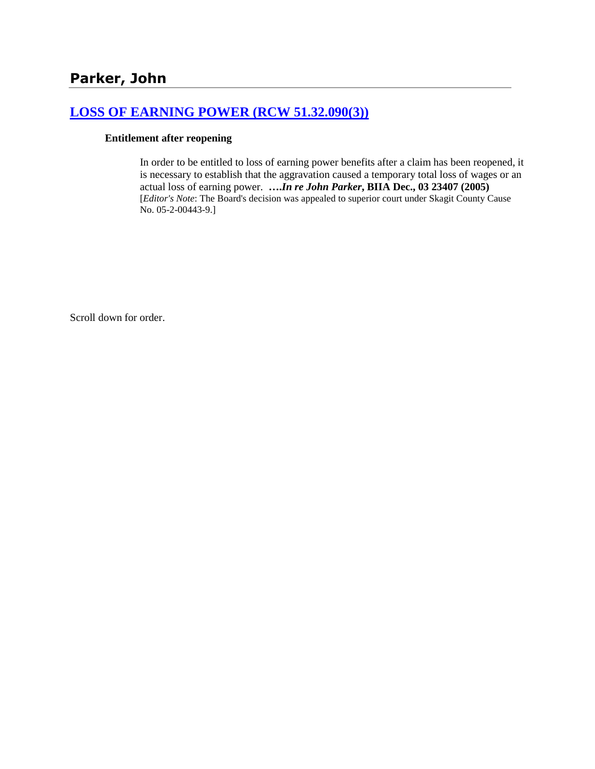# **[LOSS OF EARNING POWER \(RCW 51.32.090\(3\)\)](http://www.biia.wa.gov/SDSubjectIndex.html#LOSS_OF_EARNING_POWER)**

#### **Entitlement after reopening**

In order to be entitled to loss of earning power benefits after a claim has been reopened, it is necessary to establish that the aggravation caused a temporary total loss of wages or an actual loss of earning power. **….***In re John Parker***, BIIA Dec., 03 23407 (2005)**  [*Editor's Note*: The Board's decision was appealed to superior court under Skagit County Cause No. 05-2-00443-9.]

Scroll down for order.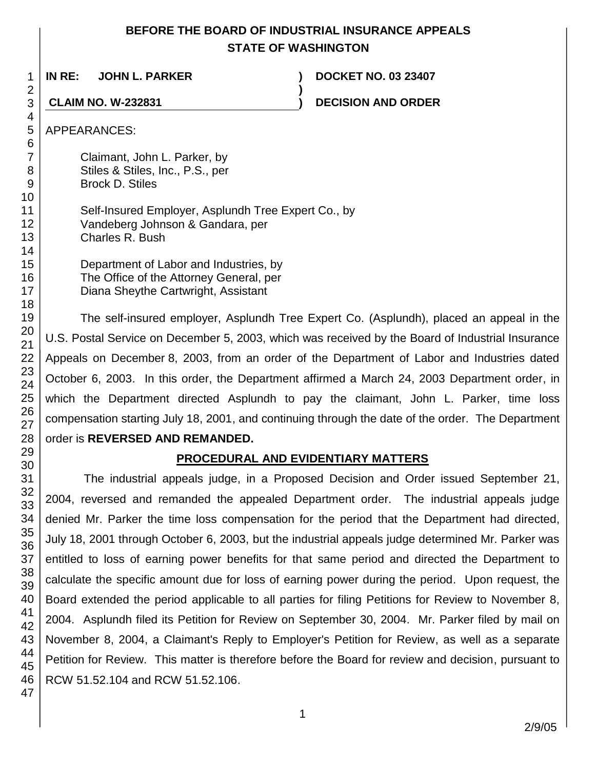# **BEFORE THE BOARD OF INDUSTRIAL INSURANCE APPEALS STATE OF WASHINGTON**

**)**

**IN RE: JOHN L. PARKER ) DOCKET NO. 03 23407**

**CLAIM NO. W-232831 ) DECISION AND ORDER**

APPEARANCES:

Claimant, John L. Parker, by Stiles & Stiles, Inc., P.S., per Brock D. Stiles

Self-Insured Employer, Asplundh Tree Expert Co., by Vandeberg Johnson & Gandara, per Charles R. Bush

Department of Labor and Industries, by The Office of the Attorney General, per Diana Sheythe Cartwright, Assistant

The self-insured employer, Asplundh Tree Expert Co. (Asplundh), placed an appeal in the U.S. Postal Service on December 5, 2003, which was received by the Board of Industrial Insurance Appeals on December 8, 2003, from an order of the Department of Labor and Industries dated October 6, 2003. In this order, the Department affirmed a March 24, 2003 Department order, in which the Department directed Asplundh to pay the claimant, John L. Parker, time loss compensation starting July 18, 2001, and continuing through the date of the order. The Department order is **REVERSED AND REMANDED.**

# **PROCEDURAL AND EVIDENTIARY MATTERS**

The industrial appeals judge, in a Proposed Decision and Order issued September 21, 2004, reversed and remanded the appealed Department order. The industrial appeals judge denied Mr. Parker the time loss compensation for the period that the Department had directed, July 18, 2001 through October 6, 2003, but the industrial appeals judge determined Mr. Parker was entitled to loss of earning power benefits for that same period and directed the Department to calculate the specific amount due for loss of earning power during the period. Upon request, the Board extended the period applicable to all parties for filing Petitions for Review to November 8, 2004. Asplundh filed its Petition for Review on September 30, 2004. Mr. Parker filed by mail on November 8, 2004, a Claimant's Reply to Employer's Petition for Review, as well as a separate Petition for Review. This matter is therefore before the Board for review and decision, pursuant to RCW 51.52.104 and RCW 51.52.106.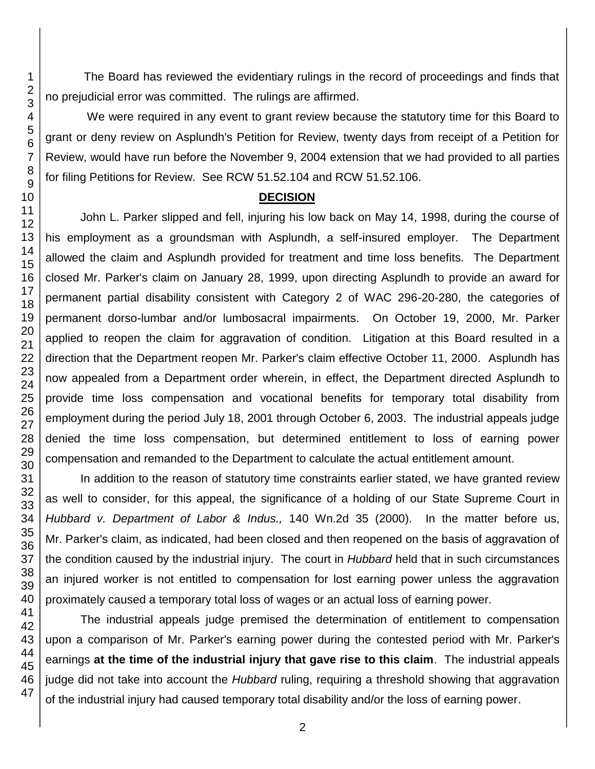The Board has reviewed the evidentiary rulings in the record of proceedings and finds that no prejudicial error was committed. The rulings are affirmed.

We were required in any event to grant review because the statutory time for this Board to grant or deny review on Asplundh's Petition for Review, twenty days from receipt of a Petition for Review, would have run before the November 9, 2004 extension that we had provided to all parties for filing Petitions for Review. See RCW 51.52.104 and RCW 51.52.106.

## **DECISION**

John L. Parker slipped and fell, injuring his low back on May 14, 1998, during the course of his employment as a groundsman with Asplundh, a self-insured employer. The Department allowed the claim and Asplundh provided for treatment and time loss benefits. The Department closed Mr. Parker's claim on January 28, 1999, upon directing Asplundh to provide an award for permanent partial disability consistent with Category 2 of WAC 296-20-280, the categories of permanent dorso-lumbar and/or lumbosacral impairments. On October 19, 2000, Mr. Parker applied to reopen the claim for aggravation of condition. Litigation at this Board resulted in a direction that the Department reopen Mr. Parker's claim effective October 11, 2000. Asplundh has now appealed from a Department order wherein, in effect, the Department directed Asplundh to provide time loss compensation and vocational benefits for temporary total disability from employment during the period July 18, 2001 through October 6, 2003. The industrial appeals judge denied the time loss compensation, but determined entitlement to loss of earning power compensation and remanded to the Department to calculate the actual entitlement amount.

In addition to the reason of statutory time constraints earlier stated, we have granted review as well to consider, for this appeal, the significance of a holding of our State Supreme Court in *Hubbard v. Department of Labor & Indus.,* 140 Wn.2d 35 (2000). In the matter before us, Mr. Parker's claim, as indicated, had been closed and then reopened on the basis of aggravation of the condition caused by the industrial injury. The court in *Hubbard* held that in such circumstances an injured worker is not entitled to compensation for lost earning power unless the aggravation proximately caused a temporary total loss of wages or an actual loss of earning power.

The industrial appeals judge premised the determination of entitlement to compensation upon a comparison of Mr. Parker's earning power during the contested period with Mr. Parker's earnings **at the time of the industrial injury that gave rise to this claim**. The industrial appeals judge did not take into account the *Hubbard* ruling, requiring a threshold showing that aggravation of the industrial injury had caused temporary total disability and/or the loss of earning power.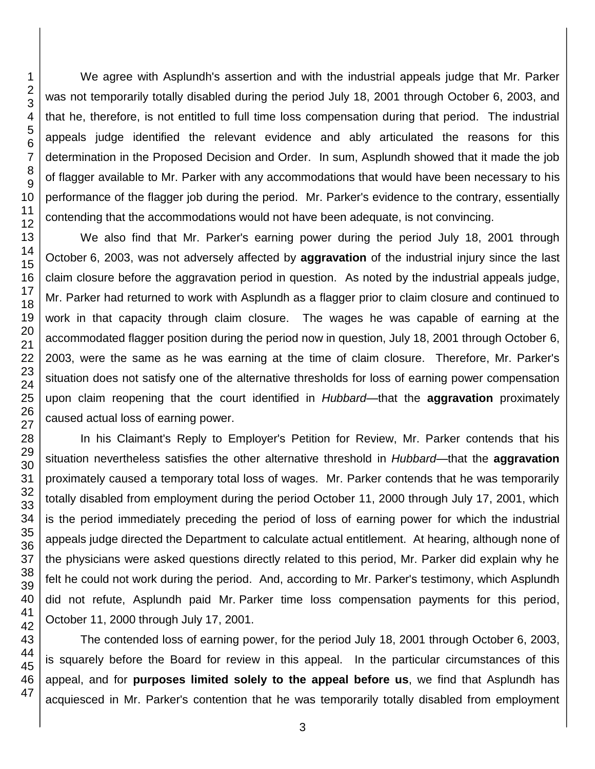We agree with Asplundh's assertion and with the industrial appeals judge that Mr. Parker was not temporarily totally disabled during the period July 18, 2001 through October 6, 2003, and that he, therefore, is not entitled to full time loss compensation during that period. The industrial appeals judge identified the relevant evidence and ably articulated the reasons for this determination in the Proposed Decision and Order. In sum, Asplundh showed that it made the job of flagger available to Mr. Parker with any accommodations that would have been necessary to his performance of the flagger job during the period. Mr. Parker's evidence to the contrary, essentially contending that the accommodations would not have been adequate, is not convincing.

We also find that Mr. Parker's earning power during the period July 18, 2001 through October 6, 2003, was not adversely affected by **aggravation** of the industrial injury since the last claim closure before the aggravation period in question. As noted by the industrial appeals judge, Mr. Parker had returned to work with Asplundh as a flagger prior to claim closure and continued to work in that capacity through claim closure. The wages he was capable of earning at the accommodated flagger position during the period now in question, July 18, 2001 through October 6, 2003, were the same as he was earning at the time of claim closure. Therefore, Mr. Parker's situation does not satisfy one of the alternative thresholds for loss of earning power compensation upon claim reopening that the court identified in *Hubbard*—that the **aggravation** proximately caused actual loss of earning power.

In his Claimant's Reply to Employer's Petition for Review, Mr. Parker contends that his situation nevertheless satisfies the other alternative threshold in *Hubbard*—that the **aggravation** proximately caused a temporary total loss of wages. Mr. Parker contends that he was temporarily totally disabled from employment during the period October 11, 2000 through July 17, 2001, which is the period immediately preceding the period of loss of earning power for which the industrial appeals judge directed the Department to calculate actual entitlement. At hearing, although none of the physicians were asked questions directly related to this period, Mr. Parker did explain why he felt he could not work during the period. And, according to Mr. Parker's testimony, which Asplundh did not refute, Asplundh paid Mr. Parker time loss compensation payments for this period, October 11, 2000 through July 17, 2001.

The contended loss of earning power, for the period July 18, 2001 through October 6, 2003, is squarely before the Board for review in this appeal. In the particular circumstances of this appeal, and for **purposes limited solely to the appeal before us**, we find that Asplundh has acquiesced in Mr. Parker's contention that he was temporarily totally disabled from employment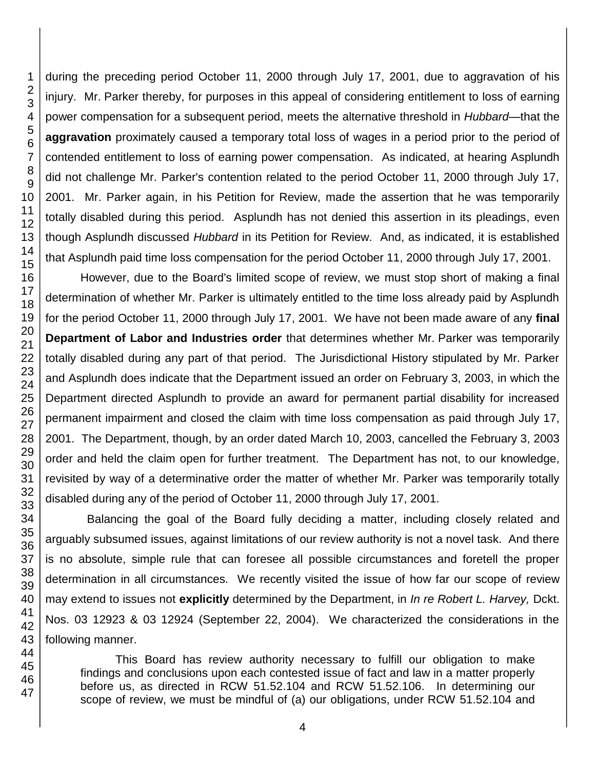46 47

during the preceding period October 11, 2000 through July 17, 2001, due to aggravation of his injury. Mr. Parker thereby, for purposes in this appeal of considering entitlement to loss of earning power compensation for a subsequent period, meets the alternative threshold in *Hubbard*—that the **aggravation** proximately caused a temporary total loss of wages in a period prior to the period of contended entitlement to loss of earning power compensation. As indicated, at hearing Asplundh did not challenge Mr. Parker's contention related to the period October 11, 2000 through July 17, 2001. Mr. Parker again, in his Petition for Review, made the assertion that he was temporarily totally disabled during this period. Asplundh has not denied this assertion in its pleadings, even though Asplundh discussed *Hubbard* in its Petition for Review. And, as indicated, it is established that Asplundh paid time loss compensation for the period October 11, 2000 through July 17, 2001.

However, due to the Board's limited scope of review, we must stop short of making a final determination of whether Mr. Parker is ultimately entitled to the time loss already paid by Asplundh for the period October 11, 2000 through July 17, 2001. We have not been made aware of any **final Department of Labor and Industries order** that determines whether Mr. Parker was temporarily totally disabled during any part of that period. The Jurisdictional History stipulated by Mr. Parker and Asplundh does indicate that the Department issued an order on February 3, 2003, in which the Department directed Asplundh to provide an award for permanent partial disability for increased permanent impairment and closed the claim with time loss compensation as paid through July 17, 2001. The Department, though, by an order dated March 10, 2003, cancelled the February 3, 2003 order and held the claim open for further treatment. The Department has not, to our knowledge, revisited by way of a determinative order the matter of whether Mr. Parker was temporarily totally disabled during any of the period of October 11, 2000 through July 17, 2001.

 Balancing the goal of the Board fully deciding a matter, including closely related and arguably subsumed issues, against limitations of our review authority is not a novel task. And there is no absolute, simple rule that can foresee all possible circumstances and foretell the proper determination in all circumstances. We recently visited the issue of how far our scope of review may extend to issues not **explicitly** determined by the Department, in *In re Robert L. Harvey,* Dckt. Nos. 03 12923 & 03 12924 (September 22, 2004). We characterized the considerations in the following manner.

This Board has review authority necessary to fulfill our obligation to make findings and conclusions upon each contested issue of fact and law in a matter properly before us, as directed in RCW 51.52.104 and RCW 51.52.106. In determining our scope of review, we must be mindful of (a) our obligations, under RCW 51.52.104 and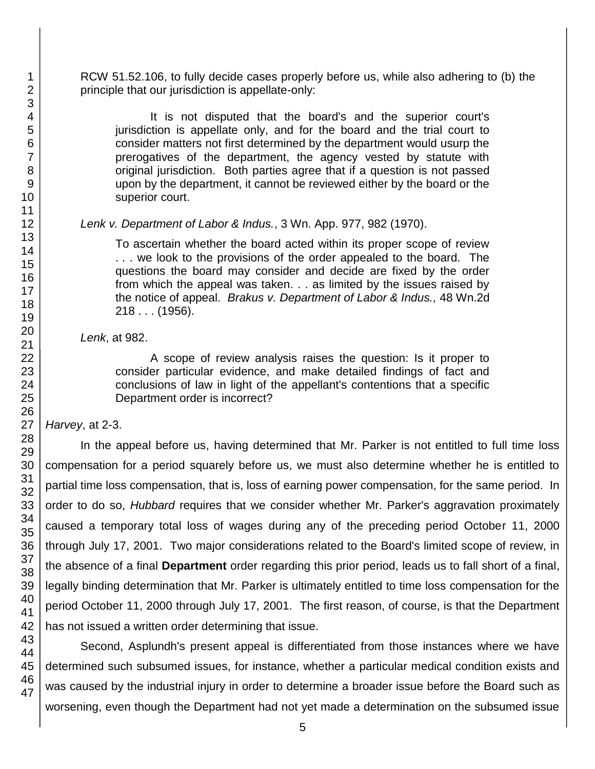RCW 51.52.106, to fully decide cases properly before us, while also adhering to (b) the principle that our jurisdiction is appellate-only:

It is not disputed that the board's and the superior court's jurisdiction is appellate only, and for the board and the trial court to consider matters not first determined by the department would usurp the prerogatives of the department, the agency vested by statute with original jurisdiction. Both parties agree that if a question is not passed upon by the department, it cannot be reviewed either by the board or the superior court.

### *Lenk v. Department of Labor & Indus.*, 3 Wn. App. 977, 982 (1970).

To ascertain whether the board acted within its proper scope of review . . . we look to the provisions of the order appealed to the board. The questions the board may consider and decide are fixed by the order from which the appeal was taken. . . as limited by the issues raised by the notice of appeal. *Brakus v. Department of Labor & Indus.,* 48 Wn.2d 218 . . . (1956).

### *Lenk*, at 982.

A scope of review analysis raises the question: Is it proper to consider particular evidence, and make detailed findings of fact and conclusions of law in light of the appellant's contentions that a specific Department order is incorrect?

# *Harvey*, at 2-3.

In the appeal before us, having determined that Mr. Parker is not entitled to full time loss compensation for a period squarely before us, we must also determine whether he is entitled to partial time loss compensation, that is, loss of earning power compensation, for the same period. In order to do so, *Hubbard* requires that we consider whether Mr. Parker's aggravation proximately caused a temporary total loss of wages during any of the preceding period October 11, 2000 through July 17, 2001. Two major considerations related to the Board's limited scope of review, in the absence of a final **Department** order regarding this prior period, leads us to fall short of a final, legally binding determination that Mr. Parker is ultimately entitled to time loss compensation for the period October 11, 2000 through July 17, 2001. The first reason, of course, is that the Department has not issued a written order determining that issue.

Second, Asplundh's present appeal is differentiated from those instances where we have determined such subsumed issues, for instance, whether a particular medical condition exists and was caused by the industrial injury in order to determine a broader issue before the Board such as worsening, even though the Department had not yet made a determination on the subsumed issue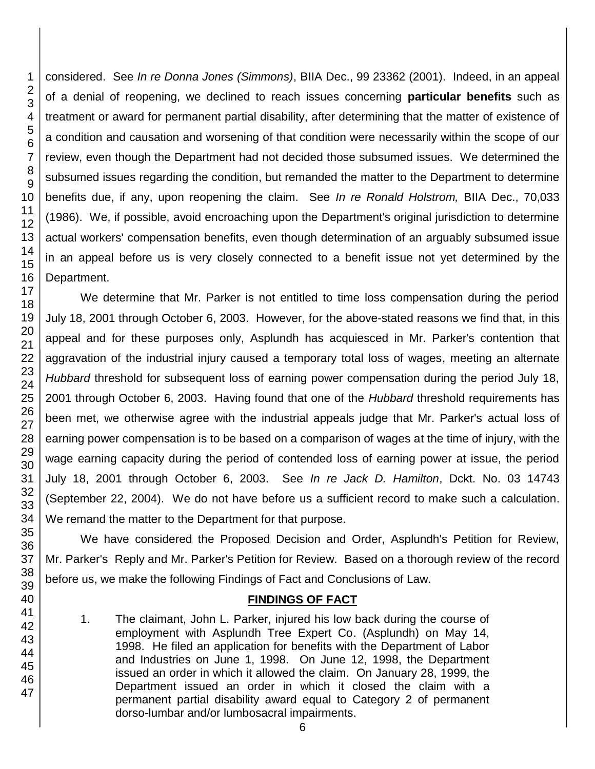considered. See *In re Donna Jones (Simmons)*, BIIA Dec., 99 23362 (2001). Indeed, in an appeal of a denial of reopening, we declined to reach issues concerning **particular benefits** such as treatment or award for permanent partial disability, after determining that the matter of existence of a condition and causation and worsening of that condition were necessarily within the scope of our review, even though the Department had not decided those subsumed issues. We determined the subsumed issues regarding the condition, but remanded the matter to the Department to determine benefits due, if any, upon reopening the claim. See *In re Ronald Holstrom,* BIIA Dec., 70,033 (1986). We, if possible, avoid encroaching upon the Department's original jurisdiction to determine actual workers' compensation benefits, even though determination of an arguably subsumed issue in an appeal before us is very closely connected to a benefit issue not yet determined by the Department.

We determine that Mr. Parker is not entitled to time loss compensation during the period July 18, 2001 through October 6, 2003. However, for the above-stated reasons we find that, in this appeal and for these purposes only, Asplundh has acquiesced in Mr. Parker's contention that aggravation of the industrial injury caused a temporary total loss of wages, meeting an alternate *Hubbard* threshold for subsequent loss of earning power compensation during the period July 18, 2001 through October 6, 2003. Having found that one of the *Hubbard* threshold requirements has been met, we otherwise agree with the industrial appeals judge that Mr. Parker's actual loss of earning power compensation is to be based on a comparison of wages at the time of injury, with the wage earning capacity during the period of contended loss of earning power at issue, the period July 18, 2001 through October 6, 2003. See *In re Jack D. Hamilton*, Dckt. No. 03 14743 (September 22, 2004). We do not have before us a sufficient record to make such a calculation. We remand the matter to the Department for that purpose.

We have considered the Proposed Decision and Order, Asplundh's Petition for Review, Mr. Parker's Reply and Mr. Parker's Petition for Review. Based on a thorough review of the record before us, we make the following Findings of Fact and Conclusions of Law.

# **FINDINGS OF FACT**

1. The claimant, John L. Parker, injured his low back during the course of employment with Asplundh Tree Expert Co. (Asplundh) on May 14, 1998. He filed an application for benefits with the Department of Labor and Industries on June 1, 1998. On June 12, 1998, the Department issued an order in which it allowed the claim. On January 28, 1999, the Department issued an order in which it closed the claim with a permanent partial disability award equal to Category 2 of permanent dorso-lumbar and/or lumbosacral impairments.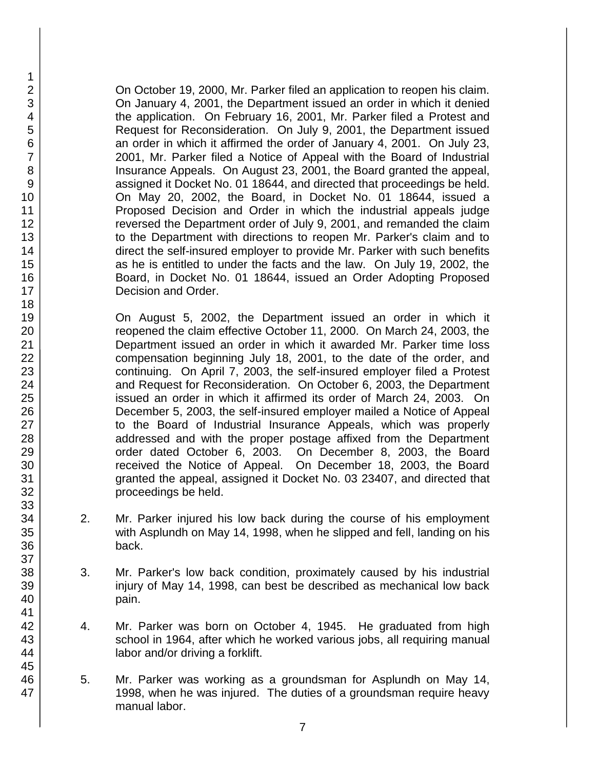On October 19, 2000, Mr. Parker filed an application to reopen his claim. On January 4, 2001, the Department issued an order in which it denied the application. On February 16, 2001, Mr. Parker filed a Protest and Request for Reconsideration. On July 9, 2001, the Department issued an order in which it affirmed the order of January 4, 2001. On July 23, 2001, Mr. Parker filed a Notice of Appeal with the Board of Industrial Insurance Appeals. On August 23, 2001, the Board granted the appeal, assigned it Docket No. 01 18644, and directed that proceedings be held. On May 20, 2002, the Board, in Docket No. 01 18644, issued a Proposed Decision and Order in which the industrial appeals judge reversed the Department order of July 9, 2001, and remanded the claim to the Department with directions to reopen Mr. Parker's claim and to direct the self-insured employer to provide Mr. Parker with such benefits as he is entitled to under the facts and the law. On July 19, 2002, the Board, in Docket No. 01 18644, issued an Order Adopting Proposed Decision and Order.

On August 5, 2002, the Department issued an order in which it reopened the claim effective October 11, 2000. On March 24, 2003, the Department issued an order in which it awarded Mr. Parker time loss compensation beginning July 18, 2001, to the date of the order, and continuing. On April 7, 2003, the self-insured employer filed a Protest and Request for Reconsideration. On October 6, 2003, the Department issued an order in which it affirmed its order of March 24, 2003. On December 5, 2003, the self-insured employer mailed a Notice of Appeal to the Board of Industrial Insurance Appeals, which was properly addressed and with the proper postage affixed from the Department order dated October 6, 2003. On December 8, 2003, the Board received the Notice of Appeal. On December 18, 2003, the Board granted the appeal, assigned it Docket No. 03 23407, and directed that proceedings be held.

- 2. Mr. Parker injured his low back during the course of his employment with Asplundh on May 14, 1998, when he slipped and fell, landing on his back.
- 3. Mr. Parker's low back condition, proximately caused by his industrial injury of May 14, 1998, can best be described as mechanical low back pain.
- 4. Mr. Parker was born on October 4, 1945. He graduated from high school in 1964, after which he worked various jobs, all requiring manual labor and/or driving a forklift.
- 5. Mr. Parker was working as a groundsman for Asplundh on May 14, 1998, when he was injured. The duties of a groundsman require heavy manual labor.

47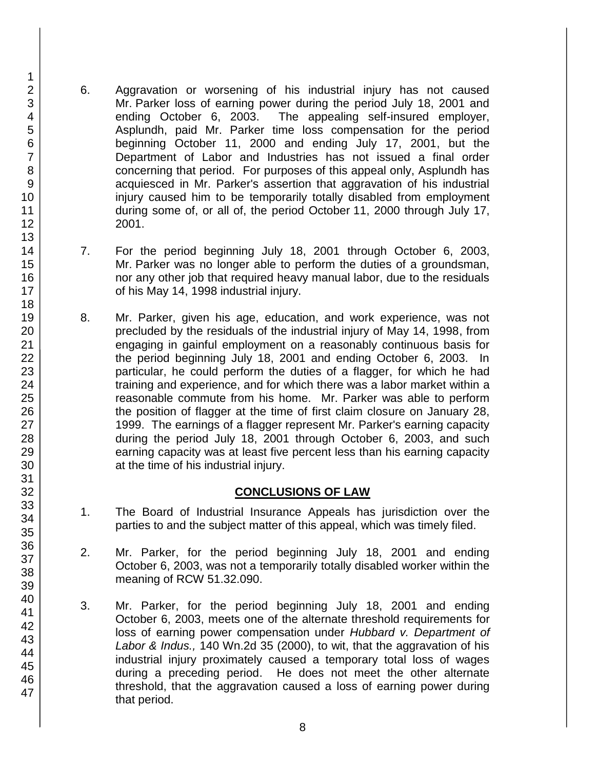- 6. Aggravation or worsening of his industrial injury has not caused Mr. Parker loss of earning power during the period July 18, 2001 and ending October 6, 2003. The appealing self-insured employer, Asplundh, paid Mr. Parker time loss compensation for the period beginning October 11, 2000 and ending July 17, 2001, but the Department of Labor and Industries has not issued a final order concerning that period. For purposes of this appeal only, Asplundh has acquiesced in Mr. Parker's assertion that aggravation of his industrial injury caused him to be temporarily totally disabled from employment during some of, or all of, the period October 11, 2000 through July 17, 2001.
- 7. For the period beginning July 18, 2001 through October 6, 2003, Mr. Parker was no longer able to perform the duties of a groundsman, nor any other job that required heavy manual labor, due to the residuals of his May 14, 1998 industrial injury.
- 8. Mr. Parker, given his age, education, and work experience, was not precluded by the residuals of the industrial injury of May 14, 1998, from engaging in gainful employment on a reasonably continuous basis for the period beginning July 18, 2001 and ending October 6, 2003. In particular, he could perform the duties of a flagger, for which he had training and experience, and for which there was a labor market within a reasonable commute from his home. Mr. Parker was able to perform the position of flagger at the time of first claim closure on January 28, 1999. The earnings of a flagger represent Mr. Parker's earning capacity during the period July 18, 2001 through October 6, 2003, and such earning capacity was at least five percent less than his earning capacity at the time of his industrial injury.

# **CONCLUSIONS OF LAW**

- 1. The Board of Industrial Insurance Appeals has jurisdiction over the parties to and the subject matter of this appeal, which was timely filed.
- 2. Mr. Parker, for the period beginning July 18, 2001 and ending October 6, 2003, was not a temporarily totally disabled worker within the meaning of RCW 51.32.090.
- 3. Mr. Parker, for the period beginning July 18, 2001 and ending October 6, 2003, meets one of the alternate threshold requirements for loss of earning power compensation under *Hubbard v. Department of Labor & Indus.,* 140 Wn.2d 35 (2000), to wit, that the aggravation of his industrial injury proximately caused a temporary total loss of wages during a preceding period. He does not meet the other alternate threshold, that the aggravation caused a loss of earning power during that period.